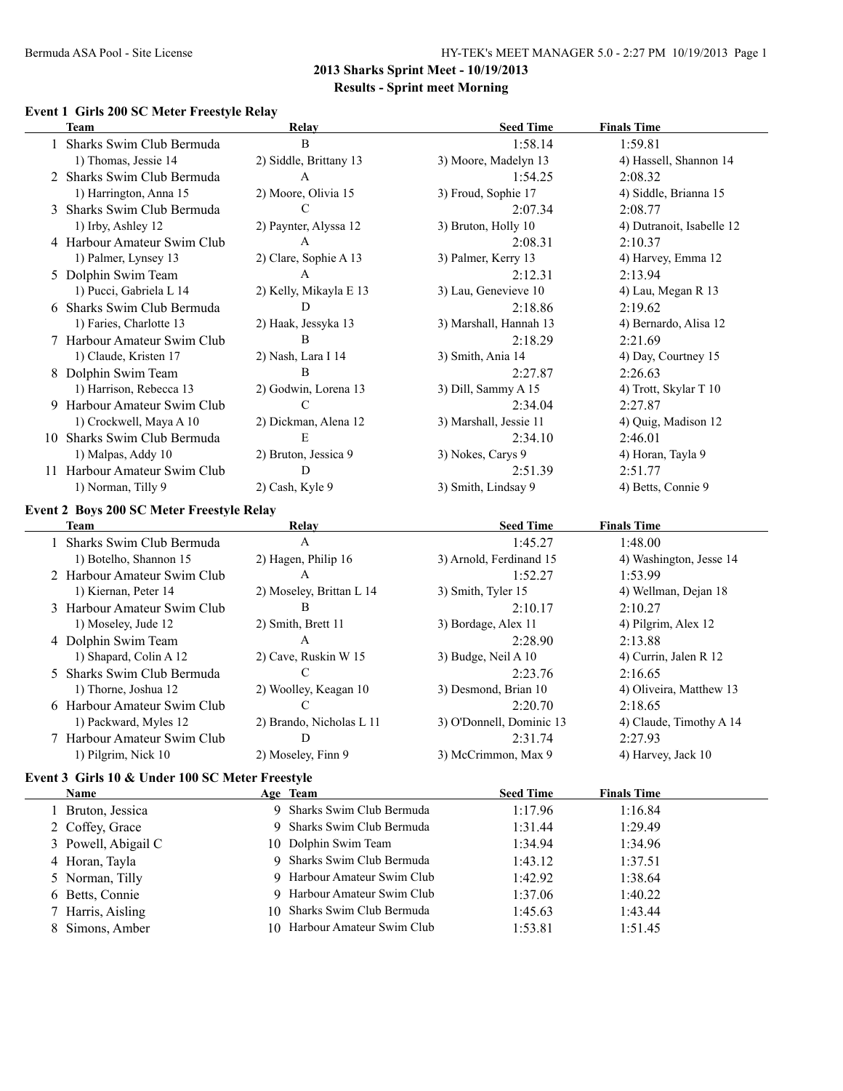#### **Event 1 Girls 200 SC Meter Freestyle Relay**

|     | <b>Team</b>                                      | <b>Relay</b>           | <b>Seed Time</b>       | <b>Finals Time</b>        |
|-----|--------------------------------------------------|------------------------|------------------------|---------------------------|
|     | Sharks Swim Club Bermuda                         | B                      | 1:58.14                | 1:59.81                   |
|     | 1) Thomas, Jessie 14                             | 2) Siddle, Brittany 13 | 3) Moore, Madelyn 13   | 4) Hassell, Shannon 14    |
|     | 2 Sharks Swim Club Bermuda                       | A                      | 1:54.25                | 2:08.32                   |
|     | 1) Harrington, Anna 15                           | 2) Moore, Olivia 15    | 3) Froud, Sophie 17    | 4) Siddle, Brianna 15     |
|     | 3 Sharks Swim Club Bermuda                       | C                      | 2:07.34                | 2:08.77                   |
|     | 1) Irby, Ashley 12                               | 2) Paynter, Alyssa 12  | 3) Bruton, Holly 10    | 4) Dutranoit, Isabelle 12 |
|     | 4 Harbour Amateur Swim Club                      | A                      | 2:08.31                | 2:10.37                   |
|     | 1) Palmer, Lynsey 13                             | 2) Clare, Sophie A 13  | 3) Palmer, Kerry 13    | 4) Harvey, Emma 12        |
|     | 5 Dolphin Swim Team                              | A                      | 2:12.31                | 2:13.94                   |
|     | 1) Pucci, Gabriela L 14                          | 2) Kelly, Mikayla E 13 | 3) Lau, Genevieve 10   | 4) Lau, Megan R 13        |
|     | 6 Sharks Swim Club Bermuda                       | D                      | 2:18.86                | 2:19.62                   |
|     | 1) Faries, Charlotte 13                          | 2) Haak, Jessyka 13    | 3) Marshall, Hannah 13 | 4) Bernardo, Alisa 12     |
|     | 7 Harbour Amateur Swim Club                      | B                      | 2:18.29                | 2:21.69                   |
|     | 1) Claude, Kristen 17                            | 2) Nash, Lara I 14     | 3) Smith, Ania 14      | 4) Day, Courtney 15       |
|     | 8 Dolphin Swim Team                              | B                      | 2:27.87                | 2:26.63                   |
|     | 1) Harrison, Rebecca 13                          | 2) Godwin, Lorena 13   | 3) Dill, Sammy A 15    | 4) Trott, Skylar T 10     |
|     | 9 Harbour Amateur Swim Club                      | $\mathcal{C}$          | 2:34.04                | 2:27.87                   |
|     | 1) Crockwell, Maya A 10                          | 2) Dickman, Alena 12   | 3) Marshall, Jessie 11 | 4) Quig, Madison 12       |
| 10. | Sharks Swim Club Bermuda                         | E                      | 2:34.10                | 2:46.01                   |
|     | 1) Malpas, Addy 10                               | 2) Bruton, Jessica 9   | 3) Nokes, Carys 9      | 4) Horan, Tayla 9         |
| 11  | Harbour Amateur Swim Club                        | D                      | 2:51.39                | 2:51.77                   |
|     | 1) Norman, Tilly 9                               | 2) Cash, Kyle 9        | 3) Smith, Lindsay 9    | 4) Betts, Connie 9        |
|     | <b>Event 2 Boys 200 SC Meter Freestyle Relay</b> |                        |                        |                           |
|     | Team                                             | Relay                  | <b>Seed Time</b>       | <b>Finals Time</b>        |
|     | Sharks Swim Club Bermuda                         | A                      | 1:45.27                | 1:48.00                   |

| Sharks Swim Club Bermuda    | A                        | 1:45.27                  | 1:48.00                 |
|-----------------------------|--------------------------|--------------------------|-------------------------|
| 1) Botelho, Shannon 15      | 2) Hagen, Philip 16      | 3) Arnold, Ferdinand 15  | 4) Washington, Jesse 14 |
| 2 Harbour Amateur Swim Club | A                        | 1:52.27                  | 1:53.99                 |
| 1) Kiernan, Peter 14        | 2) Moseley, Brittan L 14 | 3) Smith, Tyler 15       | 4) Wellman, Dejan 18    |
| 3 Harbour Amateur Swim Club | В                        | 2:10.17                  | 2:10.27                 |
| 1) Moseley, Jude 12         | 2) Smith, Brett 11       | 3) Bordage, Alex 11      | 4) Pilgrim, Alex 12     |
| 4 Dolphin Swim Team         | A                        | 2:28.90                  | 2:13.88                 |
| 1) Shapard, Colin A 12      | 2) Cave, Ruskin W 15     | 3) Budge, Neil A 10      | 4) Currin, Jalen R 12   |
| 5 Sharks Swim Club Bermuda  |                          | 2:23.76                  | 2:16.65                 |
| 1) Thorne, Joshua 12        | 2) Woolley, Keagan 10    | 3) Desmond, Brian 10     | 4) Oliveira, Matthew 13 |
| 6 Harbour Amateur Swim Club |                          | 2:20.70                  | 2:18.65                 |
| 1) Packward, Myles 12       | 2) Brando, Nicholas L 11 | 3) O'Donnell, Dominic 13 | 4) Claude, Timothy A 14 |
| 7 Harbour Amateur Swim Club | D                        | 2:31.74                  | 2:27.93                 |
| 1) Pilgrim, Nick 10         | 2) Moseley, Finn 9       | 3) McCrimmon, Max 9      | 4) Harvey, Jack 10      |
|                             |                          |                          |                         |

# **Event 3 Girls 10 & Under 100 SC Meter Freestyle**

| <b>Name</b>         | Age Team                     | <b>Seed Time</b> | <b>Finals Time</b> |
|---------------------|------------------------------|------------------|--------------------|
| Bruton, Jessica     | 9 Sharks Swim Club Bermuda   | 1:17.96          | 1:16.84            |
| 2 Coffey, Grace     | 9 Sharks Swim Club Bermuda   | 1:31.44          | 1:29.49            |
| 3 Powell, Abigail C | 10 Dolphin Swim Team         | 1:34.94          | 1:34.96            |
| 4 Horan, Tayla      | 9 Sharks Swim Club Bermuda   | 1:43.12          | 1:37.51            |
| 5 Norman, Tilly     | 9 Harbour Amateur Swim Club  | 1:42.92          | 1:38.64            |
| 6 Betts, Connie     | 9 Harbour Amateur Swim Club  | 1:37.06          | 1:40.22            |
| 7 Harris, Aisling   | 10 Sharks Swim Club Bermuda  | 1:45.63          | 1:43.44            |
| 8 Simons, Amber     | 10 Harbour Amateur Swim Club | 1:53.81          | 1:51.45            |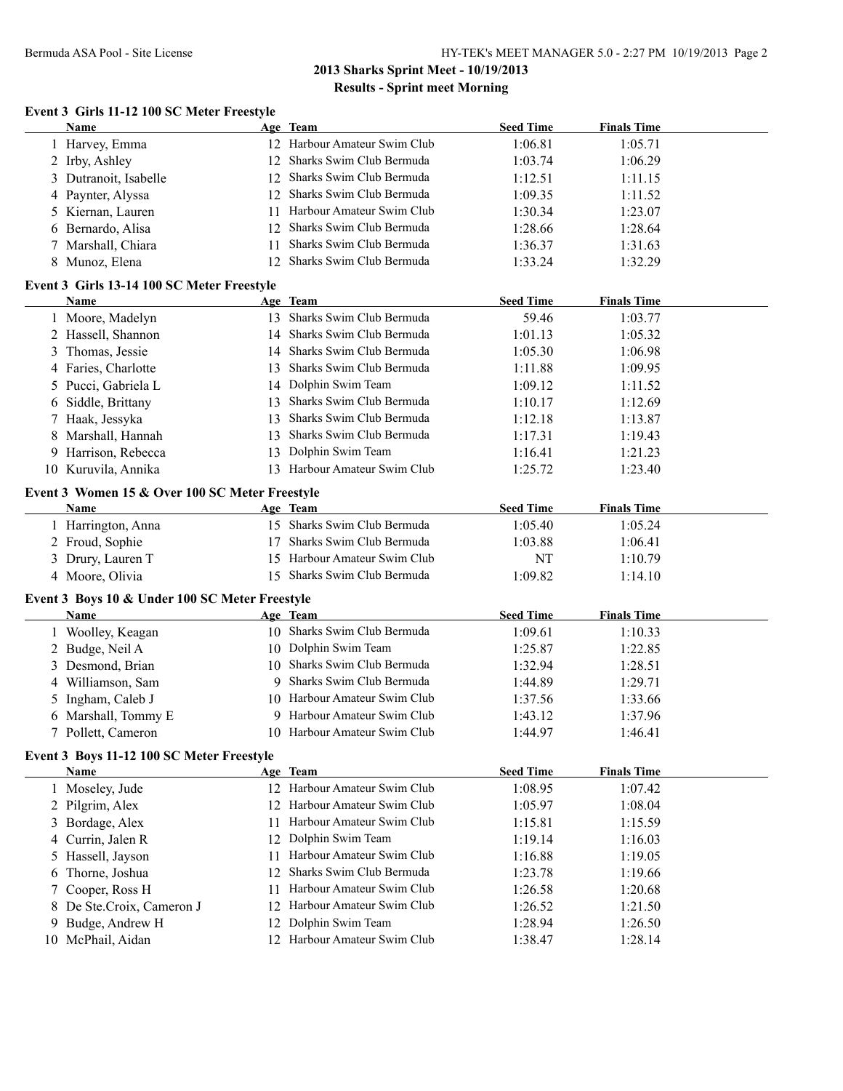# **Event 3 Girls 11-12 100 SC Meter Freestyle**

|   | Name                                           |    | Age Team                     | <b>Seed Time</b> | <b>Finals Time</b> |  |
|---|------------------------------------------------|----|------------------------------|------------------|--------------------|--|
|   | 1 Harvey, Emma                                 |    | 12 Harbour Amateur Swim Club | 1:06.81          | 1:05.71            |  |
|   | 2 Irby, Ashley                                 | 12 | Sharks Swim Club Bermuda     | 1:03.74          | 1:06.29            |  |
|   | 3 Dutranoit, Isabelle                          | 12 | Sharks Swim Club Bermuda     | 1:12.51          | 1:11.15            |  |
|   | 4 Paynter, Alyssa                              | 12 | Sharks Swim Club Bermuda     | 1:09.35          | 1:11.52            |  |
|   | 5 Kiernan, Lauren                              | 11 | Harbour Amateur Swim Club    | 1:30.34          | 1:23.07            |  |
|   | 6 Bernardo, Alisa                              | 12 | Sharks Swim Club Bermuda     | 1:28.66          | 1:28.64            |  |
|   | 7 Marshall, Chiara                             | 11 | Sharks Swim Club Bermuda     | 1:36.37          | 1:31.63            |  |
|   | 8 Munoz, Elena                                 | 12 | Sharks Swim Club Bermuda     | 1:33.24          | 1:32.29            |  |
|   |                                                |    |                              |                  |                    |  |
|   | Event 3 Girls 13-14 100 SC Meter Freestyle     |    |                              |                  |                    |  |
|   | Name                                           |    | Age Team                     | <b>Seed Time</b> | <b>Finals Time</b> |  |
|   | 1 Moore, Madelyn                               |    | 13 Sharks Swim Club Bermuda  | 59.46            | 1:03.77            |  |
|   | 2 Hassell, Shannon                             |    | 14 Sharks Swim Club Bermuda  | 1:01.13          | 1:05.32            |  |
|   | 3 Thomas, Jessie                               |    | 14 Sharks Swim Club Bermuda  | 1:05.30          | 1:06.98            |  |
|   | 4 Faries, Charlotte                            |    | 13 Sharks Swim Club Bermuda  | 1:11.88          | 1:09.95            |  |
|   | 5 Pucci, Gabriela L                            |    | 14 Dolphin Swim Team         | 1:09.12          | 1:11.52            |  |
|   | 6 Siddle, Brittany                             |    | 13 Sharks Swim Club Bermuda  | 1:10.17          | 1:12.69            |  |
|   | 7 Haak, Jessyka                                | 13 | Sharks Swim Club Bermuda     | 1:12.18          | 1:13.87            |  |
|   | 8 Marshall, Hannah                             |    | 13 Sharks Swim Club Bermuda  | 1:17.31          | 1:19.43            |  |
|   | 9 Harrison, Rebecca                            |    | 13 Dolphin Swim Team         | 1:16.41          | 1:21.23            |  |
|   | 10 Kuruvila, Annika                            |    | 13 Harbour Amateur Swim Club | 1:25.72          | 1:23.40            |  |
|   |                                                |    |                              |                  |                    |  |
|   | Event 3 Women 15 & Over 100 SC Meter Freestyle |    |                              |                  |                    |  |
|   | Name                                           |    | Age Team                     | <b>Seed Time</b> | <b>Finals Time</b> |  |
|   | 1 Harrington, Anna                             |    | 15 Sharks Swim Club Bermuda  | 1:05.40          | 1:05.24            |  |
|   | 2 Froud, Sophie                                | 17 | Sharks Swim Club Bermuda     | 1:03.88          | 1:06.41            |  |
|   | 3 Drury, Lauren T                              |    | 15 Harbour Amateur Swim Club | <b>NT</b>        | 1:10.79            |  |
|   | 4 Moore, Olivia                                |    | 15 Sharks Swim Club Bermuda  | 1:09.82          | 1:14.10            |  |
|   | Event 3 Boys 10 & Under 100 SC Meter Freestyle |    |                              |                  |                    |  |
|   | Name                                           |    | Age Team                     | <b>Seed Time</b> | <b>Finals Time</b> |  |
|   | 1 Woolley, Keagan                              |    | 10 Sharks Swim Club Bermuda  | 1:09.61          | 1:10.33            |  |
|   | 2 Budge, Neil A                                |    | 10 Dolphin Swim Team         | 1:25.87          | 1:22.85            |  |
|   | 3 Desmond, Brian                               |    | 10 Sharks Swim Club Bermuda  | 1:32.94          | 1:28.51            |  |
|   | 4 Williamson, Sam                              |    | 9 Sharks Swim Club Bermuda   | 1:44.89          | 1:29.71            |  |
|   | 5 Ingham, Caleb J                              |    | 10 Harbour Amateur Swim Club | 1:37.56          | 1:33.66            |  |
|   | 6 Marshall, Tommy E                            |    | 9 Harbour Amateur Swim Club  | 1:43.12          | 1:37.96            |  |
|   |                                                |    |                              |                  |                    |  |
|   | 7 Pollett, Cameron                             |    | 10 Harbour Amateur Swim Club | 1:44.97          | 1:46.41            |  |
|   | Event 3 Boys 11-12 100 SC Meter Freestyle      |    |                              |                  |                    |  |
|   | <b>Name</b>                                    |    | Age Team                     | <b>Seed Time</b> | <b>Finals Time</b> |  |
|   | 1 Moseley, Jude                                |    | 12 Harbour Amateur Swim Club | 1:08.95          | 1:07.42            |  |
|   | 2 Pilgrim, Alex                                |    | 12 Harbour Amateur Swim Club | 1:05.97          | 1:08.04            |  |
|   | 3 Bordage, Alex                                | 11 | Harbour Amateur Swim Club    | 1:15.81          | 1:15.59            |  |
|   | 4 Currin, Jalen R                              | 12 | Dolphin Swim Team            | 1:19.14          | 1:16.03            |  |
|   | 5 Hassell, Jayson                              | 11 | Harbour Amateur Swim Club    | 1:16.88          | 1:19.05            |  |
| 6 | Thorne, Joshua                                 | 12 | Sharks Swim Club Bermuda     | 1:23.78          | 1:19.66            |  |
|   | Cooper, Ross H                                 | 11 | Harbour Amateur Swim Club    | 1:26.58          | 1:20.68            |  |
|   | 8 De Ste.Croix, Cameron J                      | 12 | Harbour Amateur Swim Club    | 1:26.52          | 1:21.50            |  |
|   | 9 Budge, Andrew H                              | 12 | Dolphin Swim Team            | 1:28.94          | 1:26.50            |  |
|   |                                                |    | 12 Harbour Amateur Swim Club |                  | 1:28.14            |  |
|   | 10 McPhail, Aidan                              |    |                              | 1:38.47          |                    |  |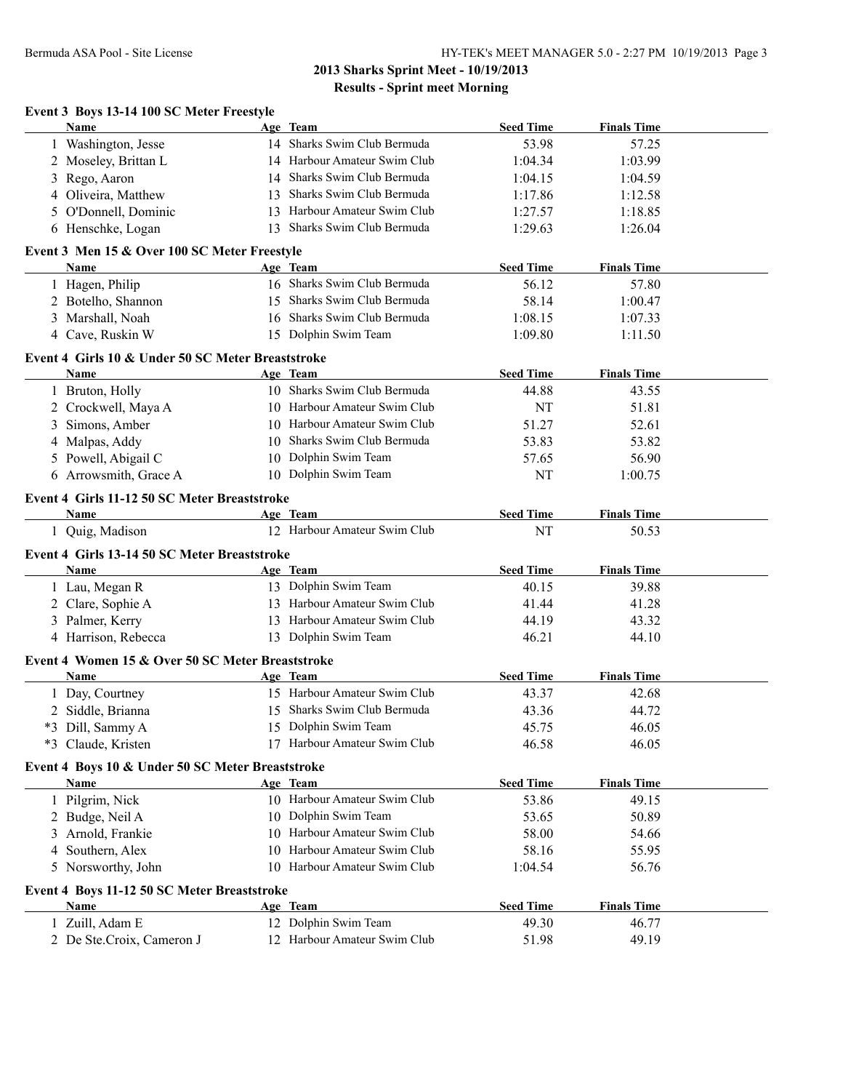|    | Name                                                        | Age Team                         | <b>Seed Time</b> | <b>Finals Time</b>          |  |
|----|-------------------------------------------------------------|----------------------------------|------------------|-----------------------------|--|
|    | 1 Washington, Jesse                                         | 14 Sharks Swim Club Bermuda      | 53.98            | 57.25                       |  |
|    | 2 Moseley, Brittan L                                        | 14 Harbour Amateur Swim Club     | 1:04.34          | 1:03.99                     |  |
| 3  | Rego, Aaron                                                 | 14 Sharks Swim Club Bermuda      | 1:04.15          | 1:04.59                     |  |
| 4  | Oliveira, Matthew                                           | 13 Sharks Swim Club Bermuda      | 1:17.86          | 1:12.58                     |  |
| 5. | O'Donnell, Dominic                                          | 13 Harbour Amateur Swim Club     | 1:27.57          | 1:18.85                     |  |
|    | 6 Henschke, Logan                                           | 13 Sharks Swim Club Bermuda      | 1:29.63          | 1:26.04                     |  |
|    | Event 3 Men 15 & Over 100 SC Meter Freestyle                |                                  |                  |                             |  |
|    | Name                                                        | Age Team                         | <b>Seed Time</b> | <b>Finals Time</b>          |  |
|    | 1 Hagen, Philip                                             | 16 Sharks Swim Club Bermuda      | 56.12            | 57.80                       |  |
|    | 2 Botelho, Shannon                                          | 15 Sharks Swim Club Bermuda      | 58.14            | 1:00.47                     |  |
|    | 3 Marshall, Noah                                            | 16 Sharks Swim Club Bermuda      | 1:08.15          | 1:07.33                     |  |
|    | 4 Cave, Ruskin W                                            | 15 Dolphin Swim Team             | 1:09.80          | 1:11.50                     |  |
|    | Event 4 Girls 10 & Under 50 SC Meter Breaststroke           |                                  |                  |                             |  |
|    | <b>Name</b>                                                 | Age Team                         | <b>Seed Time</b> | <b>Finals Time</b>          |  |
|    | 1 Bruton, Holly                                             | 10 Sharks Swim Club Bermuda      | 44.88            | 43.55                       |  |
|    | 2 Crockwell, Maya A                                         | 10 Harbour Amateur Swim Club     | NT               | 51.81                       |  |
| 3  | Simons, Amber                                               | 10 Harbour Amateur Swim Club     | 51.27            | 52.61                       |  |
|    | 4 Malpas, Addy                                              | 10 Sharks Swim Club Bermuda      | 53.83            | 53.82                       |  |
|    | 5 Powell, Abigail C                                         | 10 Dolphin Swim Team             | 57.65            | 56.90                       |  |
|    | 6 Arrowsmith, Grace A                                       | 10 Dolphin Swim Team             | NT               | 1:00.75                     |  |
|    |                                                             |                                  |                  |                             |  |
|    | Event 4 Girls 11-12 50 SC Meter Breaststroke<br><b>Name</b> | Age Team                         | <b>Seed Time</b> | <b>Finals Time</b>          |  |
|    | 1 Quig, Madison                                             | 12 Harbour Amateur Swim Club     | NT               | 50.53                       |  |
|    |                                                             |                                  |                  |                             |  |
|    | Event 4 Girls 13-14 50 SC Meter Breaststroke                |                                  | <b>Seed Time</b> | <b>Finals Time</b>          |  |
|    | Name<br>1 Lau, Megan R                                      | Age Team<br>13 Dolphin Swim Team | 40.15            | 39.88                       |  |
|    |                                                             | 13 Harbour Amateur Swim Club     |                  |                             |  |
|    | 2 Clare, Sophie A                                           | 13 Harbour Amateur Swim Club     | 41.44            | 41.28                       |  |
|    | 3 Palmer, Kerry                                             |                                  | 44.19            | 43.32                       |  |
|    | 4 Harrison, Rebecca                                         | 13 Dolphin Swim Team             | 46.21            | 44.10                       |  |
|    | Event 4 Women 15 & Over 50 SC Meter Breaststroke            |                                  |                  |                             |  |
|    | <b>Name</b>                                                 | Age Team                         | <b>Seed Time</b> | <b>Finals Time</b>          |  |
|    |                                                             |                                  |                  |                             |  |
|    | 1 Day, Courtney                                             | 15 Harbour Amateur Swim Club     | 43.37            | 42.68                       |  |
|    | 2 Siddle, Brianna                                           | 15 Sharks Swim Club Bermuda      | 43.36            | 44.72                       |  |
|    | *3 Dill, Sammy A                                            | 15 Dolphin Swim Team             | 45.75            | 46.05                       |  |
|    | *3 Claude, Kristen                                          | 17 Harbour Amateur Swim Club     | 46.58            | 46.05                       |  |
|    | Event 4 Boys 10 & Under 50 SC Meter Breaststroke            |                                  |                  |                             |  |
|    | Name                                                        | Age Team                         | <b>Seed Time</b> | <b>Finals Time</b>          |  |
|    | 1 Pilgrim, Nick                                             | 10 Harbour Amateur Swim Club     | 53.86            | 49.15                       |  |
|    | 2 Budge, Neil A                                             | 10 Dolphin Swim Team             | 53.65            | 50.89                       |  |
| 3  | Arnold, Frankie                                             | 10 Harbour Amateur Swim Club     | 58.00            | 54.66                       |  |
| 4  | Southern, Alex                                              | 10 Harbour Amateur Swim Club     | 58.16            | 55.95                       |  |
|    | 5 Norsworthy, John                                          | 10 Harbour Amateur Swim Club     | 1:04.54          | 56.76                       |  |
|    |                                                             |                                  |                  |                             |  |
|    | Event 4 Boys 11-12 50 SC Meter Breaststroke<br>Name         |                                  | <b>Seed Time</b> |                             |  |
|    | 1 Zuill, Adam E                                             | Age Team<br>12 Dolphin Swim Team | 49.30            | <b>Finals Time</b><br>46.77 |  |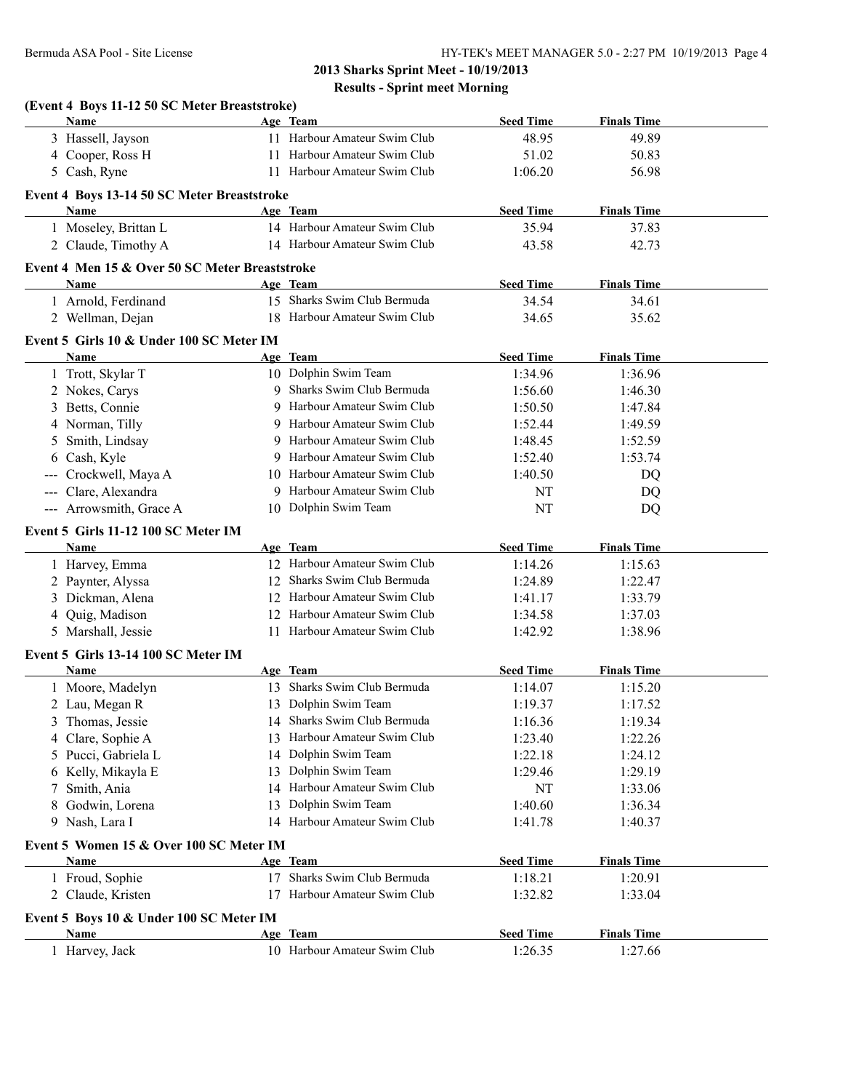|                   | (Event 4 Boys 11-12 50 SC Meter Breaststroke)<br>Name |    | Age Team                     | <b>Seed Time</b> | <b>Finals Time</b> |  |
|-------------------|-------------------------------------------------------|----|------------------------------|------------------|--------------------|--|
|                   | 3 Hassell, Jayson                                     |    | 11 Harbour Amateur Swim Club | 48.95            | 49.89              |  |
|                   | 4 Cooper, Ross H                                      |    | 11 Harbour Amateur Swim Club | 51.02            | 50.83              |  |
|                   | 5 Cash, Ryne                                          |    | 11 Harbour Amateur Swim Club | 1:06.20          | 56.98              |  |
|                   | Event 4 Boys 13-14 50 SC Meter Breaststroke           |    |                              |                  |                    |  |
|                   | Name                                                  |    | Age Team                     | <b>Seed Time</b> | <b>Finals Time</b> |  |
|                   | 1 Moseley, Brittan L                                  |    | 14 Harbour Amateur Swim Club | 35.94            | 37.83              |  |
|                   | 2 Claude, Timothy A                                   |    | 14 Harbour Amateur Swim Club | 43.58            | 42.73              |  |
|                   | Event 4 Men 15 & Over 50 SC Meter Breaststroke        |    |                              |                  |                    |  |
|                   | <b>Name</b>                                           |    | Age Team                     | <b>Seed Time</b> | <b>Finals Time</b> |  |
|                   | 1 Arnold, Ferdinand                                   |    | 15 Sharks Swim Club Bermuda  | 34.54            | 34.61              |  |
|                   | 2 Wellman, Dejan                                      |    | 18 Harbour Amateur Swim Club | 34.65            | 35.62              |  |
|                   | Event 5 Girls 10 & Under 100 SC Meter IM              |    |                              |                  |                    |  |
|                   | Name                                                  |    | Age Team                     | <b>Seed Time</b> | <b>Finals Time</b> |  |
|                   | 1 Trott, Skylar T                                     |    | 10 Dolphin Swim Team         | 1:34.96          | 1:36.96            |  |
|                   | 2 Nokes, Carys                                        | 9  | Sharks Swim Club Bermuda     | 1:56.60          | 1:46.30            |  |
|                   | 3 Betts, Connie                                       | 9  | Harbour Amateur Swim Club    | 1:50.50          | 1:47.84            |  |
|                   | 4 Norman, Tilly                                       |    | 9 Harbour Amateur Swim Club  | 1:52.44          | 1:49.59            |  |
|                   | 5 Smith, Lindsay                                      |    | 9 Harbour Amateur Swim Club  | 1:48.45          | 1:52.59            |  |
| 6                 | Cash, Kyle                                            |    | 9 Harbour Amateur Swim Club  | 1:52.40          | 1:53.74            |  |
| $\qquad \qquad -$ | Crockwell, Maya A                                     |    | 10 Harbour Amateur Swim Club | 1:40.50          | DQ                 |  |
| $\sim$ $\sim$     | Clare, Alexandra                                      |    | 9 Harbour Amateur Swim Club  | NT               | DQ                 |  |
|                   | --- Arrowsmith, Grace A                               |    | 10 Dolphin Swim Team         | NT               | DQ                 |  |
|                   | Event 5 Girls 11-12 100 SC Meter IM                   |    |                              |                  |                    |  |
|                   | Name                                                  |    | Age Team                     | <b>Seed Time</b> | <b>Finals Time</b> |  |
|                   | 1 Harvey, Emma                                        |    | 12 Harbour Amateur Swim Club | 1:14.26          | 1:15.63            |  |
|                   | 2 Paynter, Alyssa                                     |    | 12 Sharks Swim Club Bermuda  | 1:24.89          | 1:22.47            |  |
|                   | 3 Dickman, Alena                                      |    | 12 Harbour Amateur Swim Club | 1:41.17          | 1:33.79            |  |
| 4                 | Quig, Madison                                         |    | 12 Harbour Amateur Swim Club | 1:34.58          | 1:37.03            |  |
|                   | 5 Marshall, Jessie                                    |    | 11 Harbour Amateur Swim Club | 1:42.92          | 1:38.96            |  |
|                   | Event 5 Girls 13-14 100 SC Meter IM                   |    |                              |                  |                    |  |
|                   | <b>Name</b>                                           |    | Age Team                     | <b>Seed Time</b> | <b>Finals Time</b> |  |
|                   | 1 Moore, Madelyn                                      |    | 13 Sharks Swim Club Bermuda  | 1:14.07          | 1:15.20            |  |
|                   | 2 Lau, Megan R                                        |    | 13 Dolphin Swim Team         | 1:19.37          | 1:17.52            |  |
| 3                 | Thomas, Jessie                                        |    | 14 Sharks Swim Club Bermuda  | 1:16.36          | 1:19.34            |  |
| 4                 | Clare, Sophie A                                       | 13 | Harbour Amateur Swim Club    | 1:23.40          | 1:22.26            |  |
| 5                 | Pucci, Gabriela L                                     |    | 14 Dolphin Swim Team         | 1:22.18          | 1:24.12            |  |
| 6                 | Kelly, Mikayla E                                      | 13 | Dolphin Swim Team            | 1:29.46          | 1:29.19            |  |
| 7                 | Smith, Ania                                           |    | 14 Harbour Amateur Swim Club | NT               | 1:33.06            |  |
| 8                 | Godwin, Lorena                                        | 13 | Dolphin Swim Team            | 1:40.60          | 1:36.34            |  |
| 9                 | Nash, Lara I                                          |    | 14 Harbour Amateur Swim Club | 1:41.78          | 1:40.37            |  |
|                   | Event 5 Women 15 & Over 100 SC Meter IM               |    |                              |                  |                    |  |
|                   | Name                                                  |    | Age Team                     | <b>Seed Time</b> | <b>Finals Time</b> |  |
|                   | 1 Froud, Sophie                                       |    | 17 Sharks Swim Club Bermuda  | 1:18.21          | 1:20.91            |  |
|                   | 2 Claude, Kristen                                     |    | 17 Harbour Amateur Swim Club | 1:32.82          | 1:33.04            |  |
|                   | Event 5 Boys 10 & Under 100 SC Meter IM               |    |                              |                  |                    |  |
|                   | Name                                                  |    | Age Team                     | <b>Seed Time</b> | <b>Finals Time</b> |  |
|                   | 1 Harvey, Jack                                        |    | 10 Harbour Amateur Swim Club | 1:26.35          | 1:27.66            |  |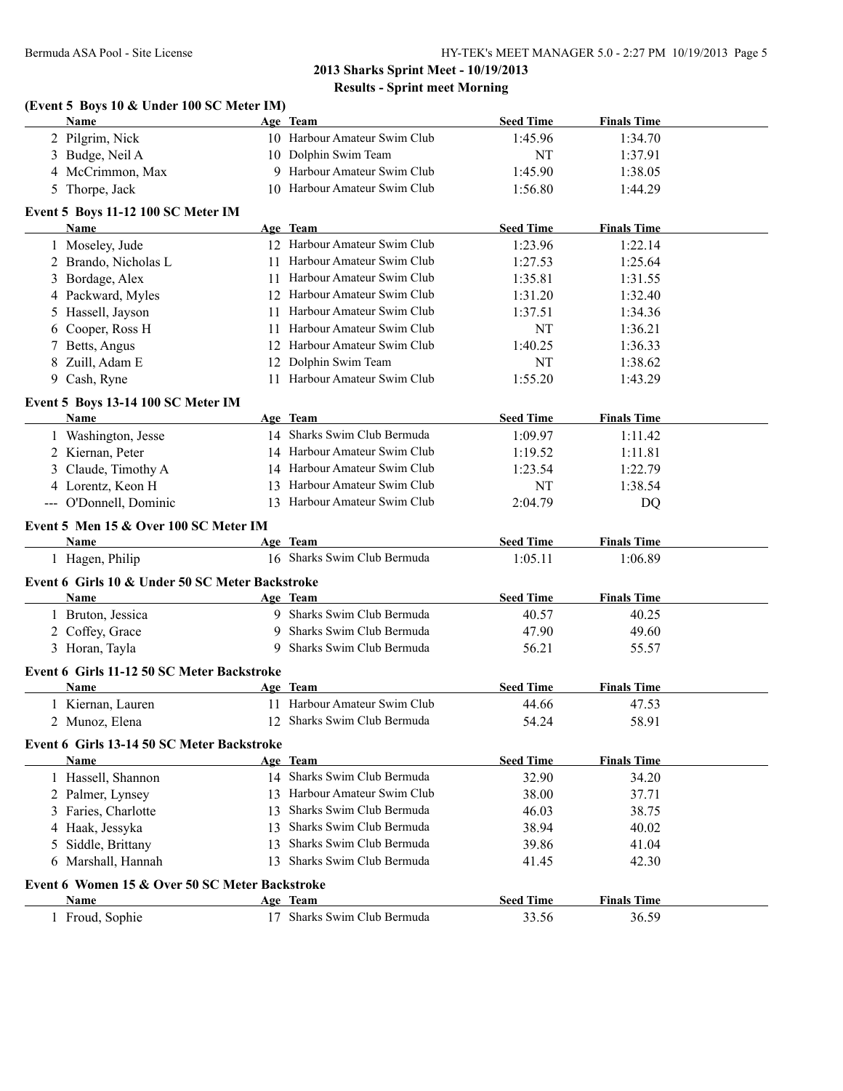#### **(Event 5 Boys 10 & Under 100 SC Meter IM)**

|   | Name                                               |    | Age Team                     | <b>Seed Time</b> | <b>Finals Time</b> |  |
|---|----------------------------------------------------|----|------------------------------|------------------|--------------------|--|
|   | 2 Pilgrim, Nick                                    |    | 10 Harbour Amateur Swim Club | 1:45.96          | 1:34.70            |  |
|   | 3 Budge, Neil A                                    |    | 10 Dolphin Swim Team         | <b>NT</b>        | 1:37.91            |  |
|   | 4 McCrimmon, Max                                   |    | 9 Harbour Amateur Swim Club  | 1:45.90          | 1:38.05            |  |
|   | 5 Thorpe, Jack                                     |    | 10 Harbour Amateur Swim Club | 1:56.80          | 1:44.29            |  |
|   | Event 5 Boys 11-12 100 SC Meter IM                 |    |                              |                  |                    |  |
|   | <b>Name</b>                                        |    | Age Team                     | <b>Seed Time</b> | <b>Finals Time</b> |  |
|   | 1 Moseley, Jude                                    |    | 12 Harbour Amateur Swim Club | 1:23.96          | 1:22.14            |  |
|   | 2 Brando, Nicholas L                               |    | 11 Harbour Amateur Swim Club | 1:27.53          | 1:25.64            |  |
|   | 3 Bordage, Alex                                    |    | 11 Harbour Amateur Swim Club | 1:35.81          | 1:31.55            |  |
|   | 4 Packward, Myles                                  |    | 12 Harbour Amateur Swim Club | 1:31.20          | 1:32.40            |  |
|   | 5 Hassell, Jayson                                  |    | 11 Harbour Amateur Swim Club | 1:37.51          | 1:34.36            |  |
|   | 6 Cooper, Ross H                                   |    | 11 Harbour Amateur Swim Club | NT               | 1:36.21            |  |
| 7 | Betts, Angus                                       |    | 12 Harbour Amateur Swim Club | 1:40.25          | 1:36.33            |  |
|   | 8 Zuill, Adam E                                    |    | 12 Dolphin Swim Team         | NT               | 1:38.62            |  |
|   | 9 Cash, Ryne                                       |    | 11 Harbour Amateur Swim Club | 1:55.20          | 1:43.29            |  |
|   | Event 5 Boys 13-14 100 SC Meter IM                 |    |                              |                  |                    |  |
|   | Name                                               |    | Age Team                     | <b>Seed Time</b> | <b>Finals Time</b> |  |
|   | 1 Washington, Jesse                                |    | 14 Sharks Swim Club Bermuda  | 1:09.97          | 1:11.42            |  |
|   | 2 Kiernan, Peter                                   |    | 14 Harbour Amateur Swim Club | 1:19.52          | 1:11.81            |  |
|   | 3 Claude, Timothy A                                |    | 14 Harbour Amateur Swim Club | 1:23.54          | 1:22.79            |  |
|   | 4 Lorentz, Keon H                                  |    | 13 Harbour Amateur Swim Club | NT               | 1:38.54            |  |
|   | --- O'Donnell, Dominic                             |    | 13 Harbour Amateur Swim Club | 2:04.79          | DQ                 |  |
|   | Event 5 Men 15 & Over 100 SC Meter IM              |    |                              |                  |                    |  |
|   | Name                                               |    | Age Team                     | <b>Seed Time</b> | <b>Finals Time</b> |  |
|   | 1 Hagen, Philip                                    |    | 16 Sharks Swim Club Bermuda  | 1:05.11          | 1:06.89            |  |
|   | Event 6 Girls 10 & Under 50 SC Meter Backstroke    |    |                              |                  |                    |  |
|   | Name                                               |    | Age Team                     | <b>Seed Time</b> | <b>Finals Time</b> |  |
|   | 1 Bruton, Jessica                                  |    | 9 Sharks Swim Club Bermuda   | 40.57            | 40.25              |  |
|   | 2 Coffey, Grace                                    |    | 9 Sharks Swim Club Bermuda   | 47.90            | 49.60              |  |
|   | 3 Horan, Tayla                                     |    | 9 Sharks Swim Club Bermuda   | 56.21            | 55.57              |  |
|   |                                                    |    |                              |                  |                    |  |
|   | Event 6 Girls 11-12 50 SC Meter Backstroke<br>Name |    | Age Team                     | <b>Seed Time</b> | <b>Finals Time</b> |  |
|   | 1 Kiernan, Lauren                                  |    | 11 Harbour Amateur Swim Club | 44.66            | 47.53              |  |
|   | 2 Munoz, Elena                                     |    | 12 Sharks Swim Club Bermuda  | 54.24            | 58.91              |  |
|   |                                                    |    |                              |                  |                    |  |
|   | Event 6 Girls 13-14 50 SC Meter Backstroke         |    |                              |                  |                    |  |
|   | <b>Name</b>                                        |    | Age Team                     | <b>Seed Time</b> | <b>Finals Time</b> |  |
|   | 1 Hassell, Shannon                                 |    | 14 Sharks Swim Club Bermuda  | 32.90            | 34.20              |  |
|   | 2 Palmer, Lynsey                                   |    | 13 Harbour Amateur Swim Club | 38.00            | 37.71              |  |
|   | 3 Faries, Charlotte                                | 13 | Sharks Swim Club Bermuda     | 46.03            | 38.75              |  |
|   | 4 Haak, Jessyka                                    | 13 | Sharks Swim Club Bermuda     | 38.94            | 40.02              |  |
|   | 5 Siddle, Brittany                                 |    | 13 Sharks Swim Club Bermuda  | 39.86            | 41.04              |  |
|   | 6 Marshall, Hannah                                 |    | 13 Sharks Swim Club Bermuda  | 41.45            | 42.30              |  |
|   | Event 6 Women 15 & Over 50 SC Meter Backstroke     |    |                              |                  |                    |  |
|   | Name                                               |    | Age Team                     | <b>Seed Time</b> | <b>Finals Time</b> |  |
|   | 1 Froud, Sophie                                    |    | 17 Sharks Swim Club Bermuda  | 33.56            | 36.59              |  |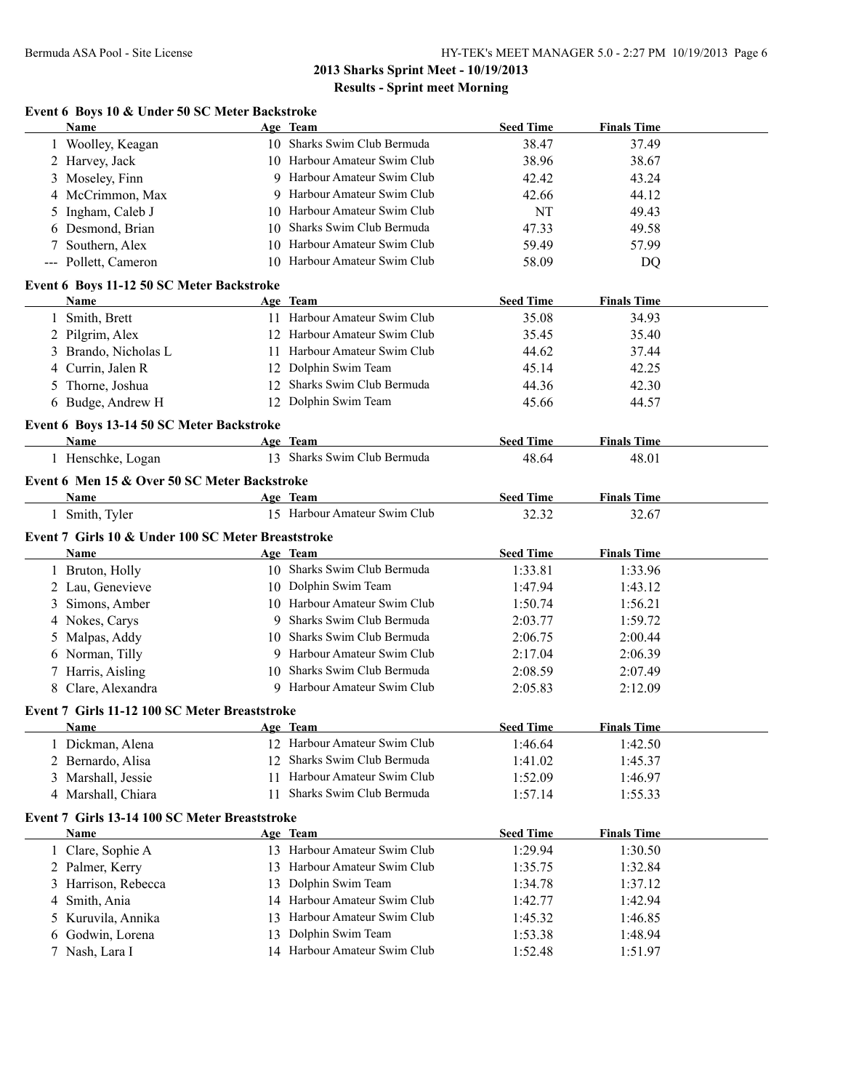## **Event 6 Boys 10 & Under 50 SC Meter Backstroke**

|   | <b>Name</b>                                           |    | Age Team                                          | <b>Seed Time</b>   | <b>Finals Time</b> |  |
|---|-------------------------------------------------------|----|---------------------------------------------------|--------------------|--------------------|--|
|   | 1 Woolley, Keagan                                     |    | 10 Sharks Swim Club Bermuda                       | 38.47              | 37.49              |  |
|   | 2 Harvey, Jack                                        |    | 10 Harbour Amateur Swim Club                      | 38.96              | 38.67              |  |
|   | 3 Moseley, Finn                                       |    | 9 Harbour Amateur Swim Club                       | 42.42              | 43.24              |  |
|   | 4 McCrimmon, Max                                      |    | 9 Harbour Amateur Swim Club                       | 42.66              | 44.12              |  |
|   | 5 Ingham, Caleb J                                     |    | 10 Harbour Amateur Swim Club                      | <b>NT</b>          | 49.43              |  |
|   | Desmond, Brian                                        | 10 | Sharks Swim Club Bermuda                          | 47.33              | 49.58              |  |
|   | 7 Southern, Alex                                      | 10 | Harbour Amateur Swim Club                         | 59.49              | 57.99              |  |
|   | --- Pollett, Cameron                                  | 10 | Harbour Amateur Swim Club                         | 58.09              | DQ                 |  |
|   | Event 6 Boys 11-12 50 SC Meter Backstroke             |    |                                                   |                    |                    |  |
|   | Name                                                  |    | Age Team                                          | <b>Seed Time</b>   | <b>Finals Time</b> |  |
|   | 1 Smith, Brett                                        |    | 11 Harbour Amateur Swim Club                      | 35.08              | 34.93              |  |
|   | 2 Pilgrim, Alex                                       |    | 12 Harbour Amateur Swim Club                      | 35.45              | 35.40              |  |
|   | 3 Brando, Nicholas L                                  |    | 11 Harbour Amateur Swim Club                      | 44.62              | 37.44              |  |
| 4 | Currin, Jalen R                                       |    | 12 Dolphin Swim Team                              | 45.14              | 42.25              |  |
|   | 5 Thorne, Joshua                                      | 12 | Sharks Swim Club Bermuda                          | 44.36              | 42.30              |  |
|   | 6 Budge, Andrew H                                     |    | 12 Dolphin Swim Team                              | 45.66              | 44.57              |  |
|   |                                                       |    |                                                   |                    |                    |  |
|   | Event 6 Boys 13-14 50 SC Meter Backstroke             |    |                                                   |                    |                    |  |
|   | <b>Name</b>                                           |    | Age Team                                          | <b>Seed Time</b>   | <b>Finals Time</b> |  |
|   | 1 Henschke, Logan                                     |    | 13 Sharks Swim Club Bermuda                       | 48.64              | 48.01              |  |
|   | Event 6 Men 15 & Over 50 SC Meter Backstroke          |    |                                                   |                    |                    |  |
|   | <b>Name</b>                                           |    | Age Team                                          | <b>Seed Time</b>   | <b>Finals Time</b> |  |
|   | 1 Smith, Tyler                                        |    | 15 Harbour Amateur Swim Club                      | 32.32              | 32.67              |  |
|   | Event 7 Girls 10 & Under 100 SC Meter Breaststroke    |    |                                                   |                    |                    |  |
|   | Name                                                  |    | Age Team                                          | <b>Seed Time</b>   | <b>Finals Time</b> |  |
|   | 1 Bruton, Holly                                       |    | 10 Sharks Swim Club Bermuda                       | 1:33.81            | 1:33.96            |  |
|   | 2 Lau, Genevieve                                      |    | 10 Dolphin Swim Team                              | 1:47.94            | 1:43.12            |  |
|   | Simons, Amber                                         |    | 10 Harbour Amateur Swim Club                      | 1:50.74            | 1:56.21            |  |
| 3 |                                                       |    | 9 Sharks Swim Club Bermuda                        |                    | 1:59.72            |  |
|   | 4 Nokes, Carys                                        |    | 10 Sharks Swim Club Bermuda                       | 2:03.77<br>2:06.75 |                    |  |
| 5 | Malpas, Addy                                          |    |                                                   |                    |                    |  |
| 6 |                                                       |    |                                                   |                    | 2:00.44            |  |
|   | Norman, Tilly                                         |    | 9 Harbour Amateur Swim Club                       | 2:17.04            | 2:06.39            |  |
|   | 7 Harris, Aisling                                     |    | 10 Sharks Swim Club Bermuda                       | 2:08.59            | 2:07.49            |  |
|   | 8 Clare, Alexandra                                    |    | 9 Harbour Amateur Swim Club                       | 2:05.83            | 2:12.09            |  |
|   | Event 7 Girls 11-12 100 SC Meter Breaststroke         |    |                                                   |                    |                    |  |
|   | Name                                                  |    | Age Team                                          | <b>Seed Time</b>   | <b>Finals Time</b> |  |
|   | 1 Dickman, Alena                                      |    | 12 Harbour Amateur Swim Club                      | 1:46.64            | 1:42.50            |  |
|   | 2 Bernardo, Alisa                                     |    | 12 Sharks Swim Club Bermuda                       | 1:41.02            | 1:45.37            |  |
|   | 3 Marshall, Jessie                                    | 11 | Harbour Amateur Swim Club                         | 1:52.09            | 1:46.97            |  |
|   | 4 Marshall, Chiara                                    | 11 | Sharks Swim Club Bermuda                          | 1:57.14            | 1:55.33            |  |
|   |                                                       |    |                                                   |                    |                    |  |
|   | Event 7 Girls 13-14 100 SC Meter Breaststroke<br>Name |    | Age Team                                          |                    | <b>Finals Time</b> |  |
|   |                                                       |    |                                                   | <b>Seed Time</b>   |                    |  |
|   | 1 Clare, Sophie A                                     |    | 13 Harbour Amateur Swim Club                      | 1:29.94            | 1:30.50            |  |
|   | 2 Palmer, Kerry                                       | 13 | Harbour Amateur Swim Club                         | 1:35.75            | 1:32.84            |  |
|   | 3 Harrison, Rebecca                                   | 13 | Dolphin Swim Team                                 | 1:34.78            | 1:37.12            |  |
|   | 4 Smith, Ania                                         |    | 14 Harbour Amateur Swim Club                      | 1:42.77            | 1:42.94            |  |
|   | 5 Kuruvila, Annika                                    |    | 13 Harbour Amateur Swim Club                      | 1:45.32            | 1:46.85            |  |
| 6 | Godwin, Lorena<br>7 Nash, Lara I                      | 13 | Dolphin Swim Team<br>14 Harbour Amateur Swim Club | 1:53.38<br>1:52.48 | 1:48.94<br>1:51.97 |  |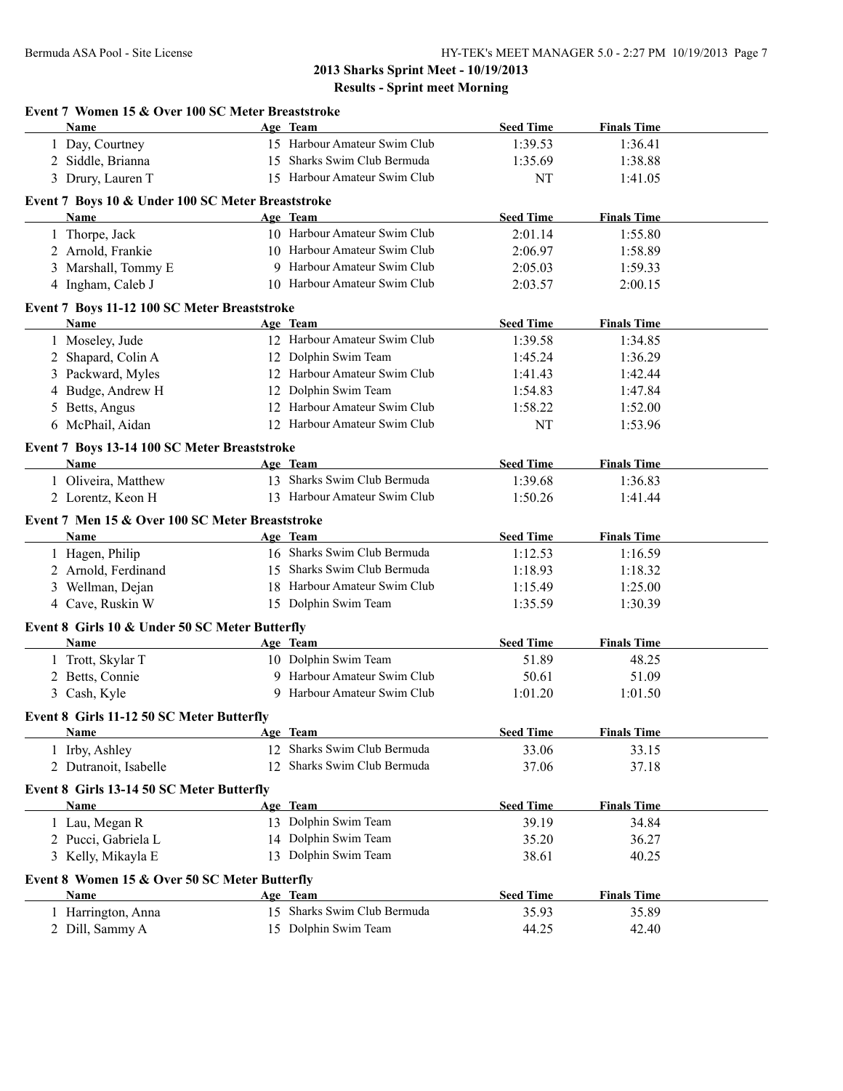| <b>Name</b>                                            |    | Age Team                                | <b>Seed Time</b> | <b>Finals Time</b> |  |
|--------------------------------------------------------|----|-----------------------------------------|------------------|--------------------|--|
| 1 Day, Courtney                                        |    | 15 Harbour Amateur Swim Club            | 1:39.53          | 1:36.41            |  |
| 2 Siddle, Brianna                                      |    | 15 Sharks Swim Club Bermuda             | 1:35.69          | 1:38.88            |  |
| 3 Drury, Lauren T                                      |    | 15 Harbour Amateur Swim Club            | NT               | 1:41.05            |  |
| Event 7 Boys 10 & Under 100 SC Meter Breaststroke      |    |                                         |                  |                    |  |
| Name                                                   |    | Age Team                                | <b>Seed Time</b> | <b>Finals Time</b> |  |
| 1 Thorpe, Jack                                         |    | 10 Harbour Amateur Swim Club            | 2:01.14          | 1:55.80            |  |
| 2 Arnold, Frankie                                      |    | 10 Harbour Amateur Swim Club            | 2:06.97          | 1:58.89            |  |
| 3 Marshall, Tommy E                                    |    | 9 Harbour Amateur Swim Club             | 2:05.03          | 1:59.33            |  |
| 4 Ingham, Caleb J                                      |    | 10 Harbour Amateur Swim Club            | 2:03.57          | 2:00.15            |  |
| Event 7 Boys 11-12 100 SC Meter Breaststroke           |    |                                         |                  |                    |  |
| Name                                                   |    | Age Team                                | <b>Seed Time</b> | <b>Finals Time</b> |  |
| 1 Moseley, Jude                                        |    | 12 Harbour Amateur Swim Club            | 1:39.58          | 1:34.85            |  |
| 2 Shapard, Colin A                                     |    | 12 Dolphin Swim Team                    | 1:45.24          | 1:36.29            |  |
| 3 Packward, Myles                                      |    | 12 Harbour Amateur Swim Club            | 1:41.43          | 1:42.44            |  |
| Budge, Andrew H<br>4                                   |    | 12 Dolphin Swim Team                    | 1:54.83          | 1:47.84            |  |
| 5 Betts, Angus                                         |    | 12 Harbour Amateur Swim Club            | 1:58.22          | 1:52.00            |  |
| 6 McPhail, Aidan                                       |    | 12 Harbour Amateur Swim Club            | NT               | 1:53.96            |  |
| Event 7 Boys 13-14 100 SC Meter Breaststroke           |    |                                         |                  |                    |  |
| <b>Name</b>                                            |    | Age Team                                | <b>Seed Time</b> | <b>Finals Time</b> |  |
| 1 Oliveira, Matthew                                    |    | 13 Sharks Swim Club Bermuda             | 1:39.68          | 1:36.83            |  |
| 2 Lorentz, Keon H                                      |    | 13 Harbour Amateur Swim Club            | 1:50.26          | 1:41.44            |  |
| Event 7 Men 15 & Over 100 SC Meter Breaststroke        |    |                                         |                  |                    |  |
| Name                                                   |    | Age Team                                | <b>Seed Time</b> | <b>Finals Time</b> |  |
| 1 Hagen, Philip                                        |    | 16 Sharks Swim Club Bermuda             | 1:12.53          | 1:16.59            |  |
| 2 Arnold, Ferdinand                                    |    | 15 Sharks Swim Club Bermuda             | 1:18.93          | 1:18.32            |  |
| 3 Wellman, Dejan                                       |    | 18 Harbour Amateur Swim Club            | 1:15.49          | 1:25.00            |  |
| 4 Cave, Ruskin W                                       |    | 15 Dolphin Swim Team                    | 1:35.59          | 1:30.39            |  |
|                                                        |    |                                         |                  |                    |  |
| Event 8 Girls 10 & Under 50 SC Meter Butterfly<br>Name |    | Age Team                                | <b>Seed Time</b> | <b>Finals Time</b> |  |
|                                                        |    | 10 Dolphin Swim Team                    | 51.89            | 48.25              |  |
| 1 Trott, Skylar T<br>2 Betts, Connie                   |    | 9 Harbour Amateur Swim Club             | 50.61            | 51.09              |  |
|                                                        |    | 9 Harbour Amateur Swim Club             | 1:01.20          |                    |  |
| 3 Cash, Kyle                                           |    |                                         |                  | 1:01.50            |  |
| Event 8 Girls 11-12 50 SC Meter Butterfly              |    |                                         | <b>Seed Time</b> |                    |  |
| <b>Name</b>                                            |    | Age Team<br>12 Sharks Swim Club Bermuda |                  | <b>Finals Time</b> |  |
| 1 Irby, Ashley                                         |    |                                         | 33.06            | 33.15              |  |
| 2 Dutranoit, Isabelle                                  | 12 | Sharks Swim Club Bermuda                | 37.06            | 37.18              |  |
| Event 8 Girls 13-14 50 SC Meter Butterfly              |    |                                         |                  |                    |  |
| Name                                                   |    | Age Team                                | <b>Seed Time</b> | <b>Finals Time</b> |  |
| 1 Lau, Megan R                                         |    | 13 Dolphin Swim Team                    | 39.19            | 34.84              |  |
| 2 Pucci, Gabriela L                                    |    | 14 Dolphin Swim Team                    | 35.20            | 36.27              |  |
| 3 Kelly, Mikayla E                                     |    | 13 Dolphin Swim Team                    | 38.61            | 40.25              |  |
| Event 8 Women 15 & Over 50 SC Meter Butterfly          |    |                                         |                  |                    |  |
|                                                        |    | Age Team                                | <b>Seed Time</b> | <b>Finals Time</b> |  |
| Name                                                   |    |                                         |                  |                    |  |
| 1 Harrington, Anna                                     |    | 15 Sharks Swim Club Bermuda             | 35.93            | 35.89              |  |
| 2 Dill, Sammy A                                        |    | 15 Dolphin Swim Team                    | 44.25            | 42.40              |  |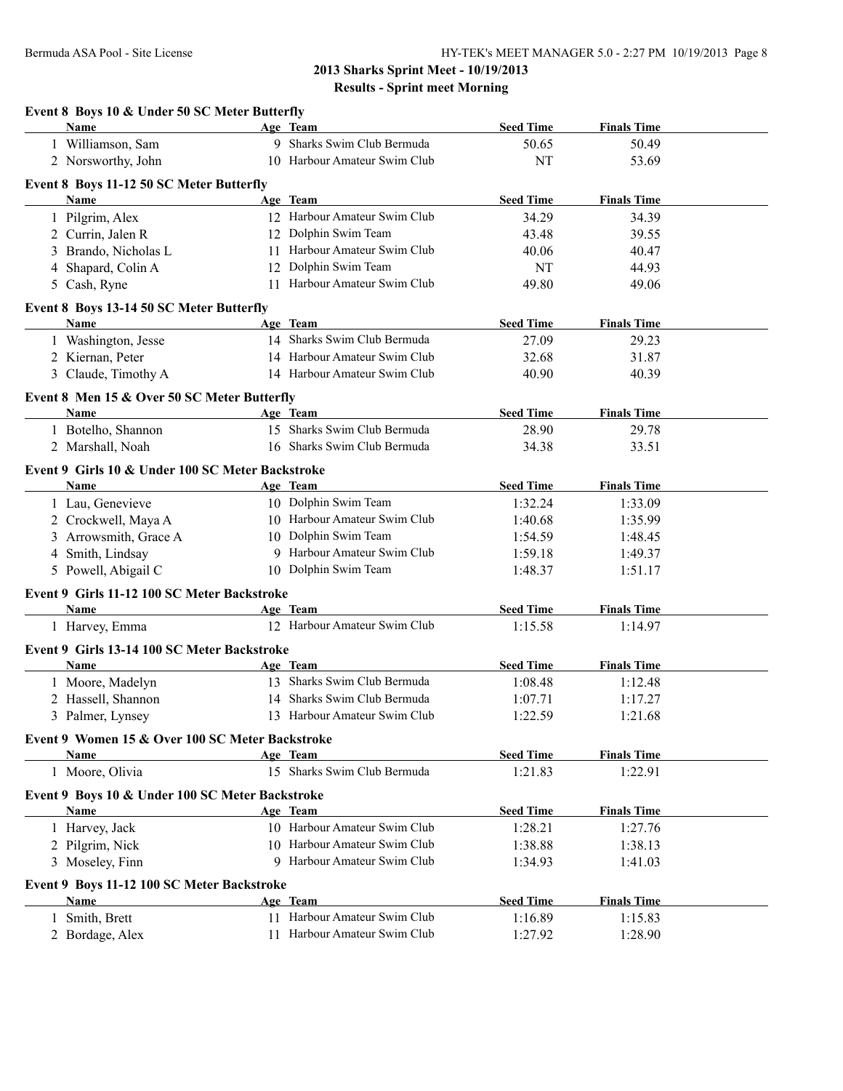| Event 8 Boys 10 & Under 50 SC Meter Butterfly            |                              |                  |                    |
|----------------------------------------------------------|------------------------------|------------------|--------------------|
| Name                                                     | Age Team                     | <b>Seed Time</b> | <b>Finals Time</b> |
| 1 Williamson, Sam                                        | 9 Sharks Swim Club Bermuda   | 50.65            | 50.49              |
| 2 Norsworthy, John                                       | 10 Harbour Amateur Swim Club | NT               | 53.69              |
| Event 8 Boys 11-12 50 SC Meter Butterfly                 |                              |                  |                    |
| <b>Name</b>                                              | Age Team                     | <b>Seed Time</b> | <b>Finals Time</b> |
| 1 Pilgrim, Alex                                          | 12 Harbour Amateur Swim Club | 34.29            | 34.39              |
| 2 Currin, Jalen R                                        | 12 Dolphin Swim Team         | 43.48            | 39.55              |
| 3 Brando, Nicholas L                                     | 11 Harbour Amateur Swim Club | 40.06            | 40.47              |
| 4 Shapard, Colin A                                       | 12 Dolphin Swim Team         | NT               | 44.93              |
| 5 Cash, Ryne                                             | 11 Harbour Amateur Swim Club | 49.80            | 49.06              |
| Event 8 Boys 13-14 50 SC Meter Butterfly                 |                              |                  |                    |
| <b>Name</b>                                              | Age Team                     | <b>Seed Time</b> | <b>Finals Time</b> |
| 1 Washington, Jesse                                      | 14 Sharks Swim Club Bermuda  | 27.09            | 29.23              |
| 2 Kiernan, Peter                                         | 14 Harbour Amateur Swim Club | 32.68            | 31.87              |
| 3 Claude, Timothy A                                      | 14 Harbour Amateur Swim Club | 40.90            | 40.39              |
| Event 8 Men 15 & Over 50 SC Meter Butterfly              |                              |                  |                    |
| Name                                                     | Age Team                     | <b>Seed Time</b> | <b>Finals Time</b> |
| 1 Botelho, Shannon                                       | 15 Sharks Swim Club Bermuda  | 28.90            | 29.78              |
| 2 Marshall, Noah                                         | 16 Sharks Swim Club Bermuda  | 34.38            | 33.51              |
|                                                          |                              |                  |                    |
| Event 9 Girls 10 & Under 100 SC Meter Backstroke<br>Name | Age Team                     | <b>Seed Time</b> | <b>Finals Time</b> |
| 1 Lau, Genevieve                                         | 10 Dolphin Swim Team         | 1:32.24          | 1:33.09            |
| 2 Crockwell, Maya A                                      | 10 Harbour Amateur Swim Club | 1:40.68          | 1:35.99            |
| 3 Arrowsmith, Grace A                                    | 10 Dolphin Swim Team         | 1:54.59          | 1:48.45            |
| 4 Smith, Lindsay                                         | 9 Harbour Amateur Swim Club  | 1:59.18          | 1:49.37            |
| 5 Powell, Abigail C                                      | 10 Dolphin Swim Team         | 1:48.37          | 1:51.17            |
|                                                          |                              |                  |                    |
| Event 9 Girls 11-12 100 SC Meter Backstroke              |                              |                  |                    |
| Name                                                     | Age Team                     | <b>Seed Time</b> | <b>Finals Time</b> |
| 1 Harvey, Emma                                           | 12 Harbour Amateur Swim Club | 1:15.58          | 1:14.97            |
| Event 9 Girls 13-14 100 SC Meter Backstroke              |                              |                  |                    |
| Name                                                     | Age Team                     | <b>Seed Time</b> | <b>Finals Time</b> |
| 1 Moore, Madelyn                                         | 13 Sharks Swim Club Bermuda  | 1:08.48          | 1:12.48            |
| 2 Hassell, Shannon                                       | 14 Sharks Swim Club Bermuda  | 1:07.71          | 1:17.27            |
| 3 Palmer, Lynsey                                         | 13 Harbour Amateur Swim Club | 1:22.59          | 1:21.68            |
| Event 9 Women 15 & Over 100 SC Meter Backstroke          |                              |                  |                    |
| Name                                                     | Age Team                     | <b>Seed Time</b> | <b>Finals Time</b> |
| 1 Moore, Olivia                                          | 15 Sharks Swim Club Bermuda  | 1:21.83          | 1:22.91            |
| Event 9 Boys 10 & Under 100 SC Meter Backstroke          |                              |                  |                    |
| Name                                                     | Age Team                     | <b>Seed Time</b> | <b>Finals Time</b> |
| 1 Harvey, Jack                                           | 10 Harbour Amateur Swim Club | 1:28.21          | 1:27.76            |
| 2 Pilgrim, Nick                                          | 10 Harbour Amateur Swim Club | 1:38.88          | 1:38.13            |
| 3 Moseley, Finn                                          | 9 Harbour Amateur Swim Club  | 1:34.93          | 1:41.03            |
|                                                          |                              |                  |                    |
| Event 9 Boys 11-12 100 SC Meter Backstroke               |                              |                  |                    |
| Name                                                     | Age Team                     | <b>Seed Time</b> | <b>Finals Time</b> |
| 1 Smith, Brett                                           | 11 Harbour Amateur Swim Club | 1:16.89          | 1:15.83            |
| 2 Bordage, Alex                                          | 11 Harbour Amateur Swim Club | 1:27.92          | 1:28.90            |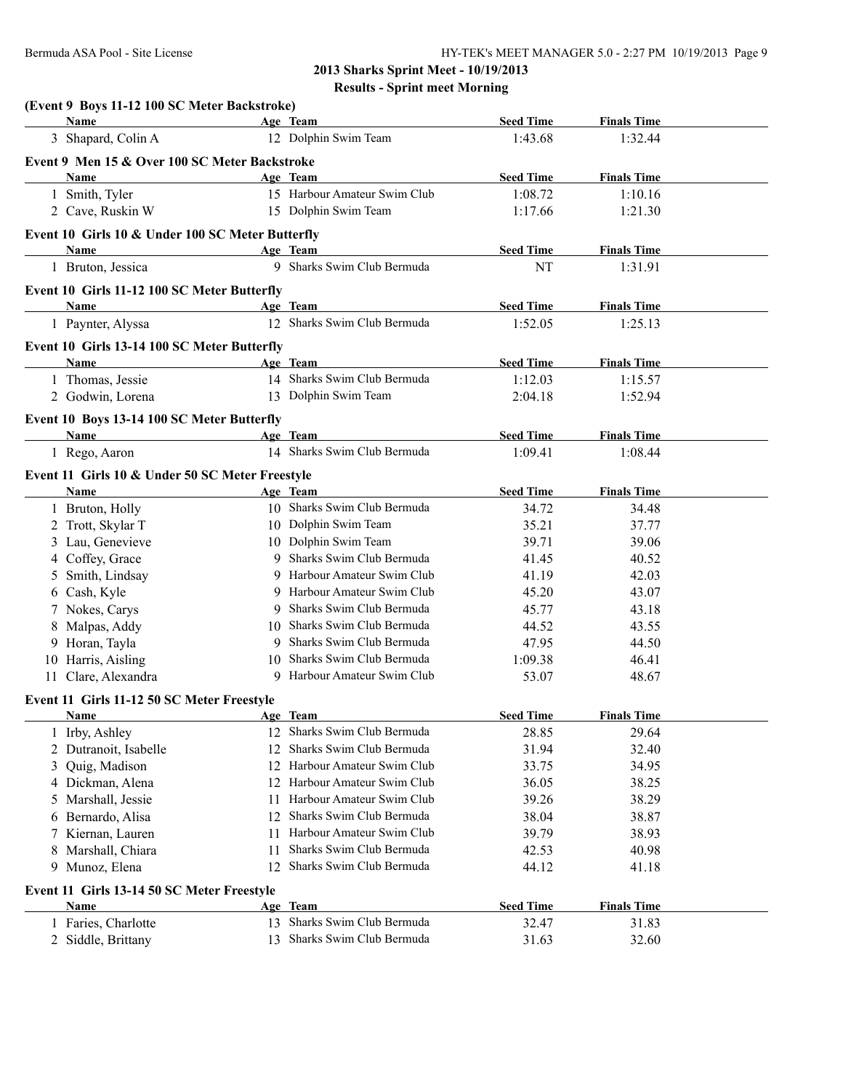| (Event 9 Boys 11-12 100 SC Meter Backstroke)<br>Name |     | Age Team                     | <b>Seed Time</b> | <b>Finals Time</b> |  |
|------------------------------------------------------|-----|------------------------------|------------------|--------------------|--|
| 3 Shapard, Colin A                                   |     | 12 Dolphin Swim Team         | 1:43.68          | 1:32.44            |  |
| Event 9 Men 15 & Over 100 SC Meter Backstroke        |     |                              |                  |                    |  |
| Name                                                 |     | Age Team                     | <b>Seed Time</b> | <b>Finals Time</b> |  |
| 1 Smith, Tyler                                       |     | 15 Harbour Amateur Swim Club | 1:08.72          | 1:10.16            |  |
| 2 Cave, Ruskin W                                     |     | 15 Dolphin Swim Team         | 1:17.66          | 1:21.30            |  |
| Event 10 Girls 10 & Under 100 SC Meter Butterfly     |     |                              |                  |                    |  |
| <b>Name</b>                                          |     | Age Team                     | <b>Seed Time</b> | <b>Finals Time</b> |  |
| 1 Bruton, Jessica                                    |     | 9 Sharks Swim Club Bermuda   | NT               | 1:31.91            |  |
|                                                      |     |                              |                  |                    |  |
| Event 10 Girls 11-12 100 SC Meter Butterfly<br>Name  |     | Age Team                     | <b>Seed Time</b> | <b>Finals Time</b> |  |
| 1 Paynter, Alyssa                                    |     | 12 Sharks Swim Club Bermuda  | 1:52.05          | 1:25.13            |  |
|                                                      |     |                              |                  |                    |  |
| Event 10 Girls 13-14 100 SC Meter Butterfly          |     |                              |                  |                    |  |
| Name                                                 |     | Age Team                     | <b>Seed Time</b> | <b>Finals Time</b> |  |
| 1 Thomas, Jessie                                     |     | 14 Sharks Swim Club Bermuda  | 1:12.03          | 1:15.57            |  |
| 2 Godwin, Lorena                                     |     | 13 Dolphin Swim Team         | 2:04.18          | 1:52.94            |  |
| Event 10 Boys 13-14 100 SC Meter Butterfly           |     |                              |                  |                    |  |
| <b>Name</b>                                          |     | Age Team                     | <b>Seed Time</b> | <b>Finals Time</b> |  |
| 1 Rego, Aaron                                        |     | 14 Sharks Swim Club Bermuda  | 1:09.41          | 1:08.44            |  |
| Event 11 Girls 10 & Under 50 SC Meter Freestyle      |     |                              |                  |                    |  |
| Name                                                 |     | Age Team                     | <b>Seed Time</b> | <b>Finals Time</b> |  |
| 1 Bruton, Holly                                      |     | 10 Sharks Swim Club Bermuda  | 34.72            | 34.48              |  |
| 2 Trott, Skylar T                                    |     | 10 Dolphin Swim Team         | 35.21            | 37.77              |  |
| 3 Lau, Genevieve                                     |     | 10 Dolphin Swim Team         | 39.71            | 39.06              |  |
| 4 Coffey, Grace                                      |     | 9 Sharks Swim Club Bermuda   | 41.45            | 40.52              |  |
| 5 Smith, Lindsay                                     |     | 9 Harbour Amateur Swim Club  | 41.19            | 42.03              |  |
| 6 Cash, Kyle                                         |     | 9 Harbour Amateur Swim Club  | 45.20            | 43.07              |  |
| 7 Nokes, Carys                                       |     | 9 Sharks Swim Club Bermuda   | 45.77            | 43.18              |  |
| 8 Malpas, Addy                                       |     | 10 Sharks Swim Club Bermuda  | 44.52            | 43.55              |  |
| 9 Horan, Tayla                                       |     | 9 Sharks Swim Club Bermuda   | 47.95            | 44.50              |  |
| 10 Harris, Aisling                                   |     | 10 Sharks Swim Club Bermuda  | 1:09.38          | 46.41              |  |
| 11 Clare, Alexandra                                  |     | 9 Harbour Amateur Swim Club  | 53.07            | 48.67              |  |
| Event 11 Girls 11-12 50 SC Meter Freestyle           |     |                              |                  |                    |  |
| <b>Example 2</b> Age Team<br>Name                    |     |                              | <b>Seed Time</b> | <b>Finals Time</b> |  |
| 1 Irby, Ashley                                       |     | 12 Sharks Swim Club Bermuda  | 28.85            | 29.64              |  |
| Dutranoit, Isabelle<br>2                             | 12  | Sharks Swim Club Bermuda     | 31.94            | 32.40              |  |
| Quig, Madison<br>3                                   |     | 12 Harbour Amateur Swim Club | 33.75            | 34.95              |  |
| 4 Dickman, Alena                                     |     | 12 Harbour Amateur Swim Club | 36.05            | 38.25              |  |
| Marshall, Jessie<br>5                                | 11. | Harbour Amateur Swim Club    | 39.26            | 38.29              |  |
| Bernardo, Alisa<br>6                                 | 12  | Sharks Swim Club Bermuda     | 38.04            | 38.87              |  |
| Kiernan, Lauren<br>7                                 | 11. | Harbour Amateur Swim Club    | 39.79            | 38.93              |  |
| Marshall, Chiara<br>8                                | 11  | Sharks Swim Club Bermuda     | 42.53            | 40.98              |  |
| 9 Munoz, Elena                                       | 12  | Sharks Swim Club Bermuda     | 44.12            | 41.18              |  |
| Event 11 Girls 13-14 50 SC Meter Freestyle           |     |                              |                  |                    |  |
| <b>Name</b>                                          |     | Age Team                     | <b>Seed Time</b> | <b>Finals Time</b> |  |
| 1 Faries, Charlotte                                  | 13  | Sharks Swim Club Bermuda     | 32.47            | 31.83              |  |
| 2 Siddle, Brittany                                   | 13  | Sharks Swim Club Bermuda     | 31.63            | 32.60              |  |
|                                                      |     |                              |                  |                    |  |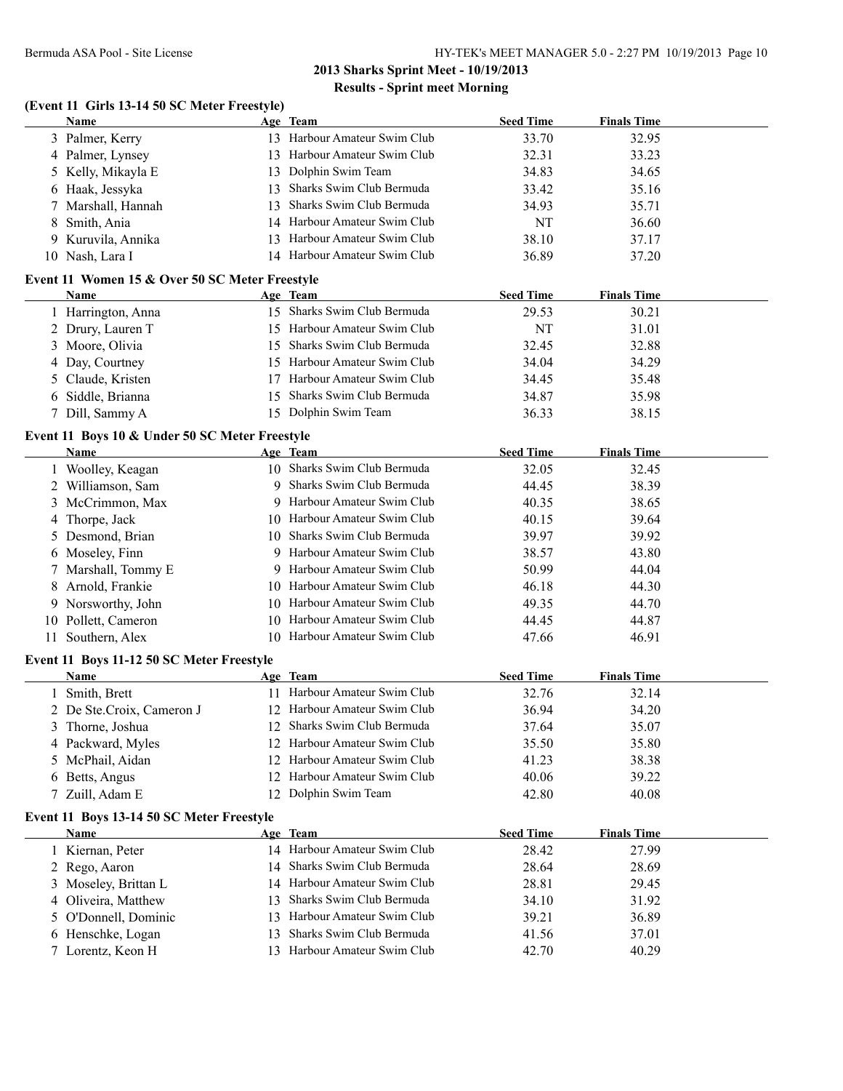#### **(Event 11 Girls 13-14 50 SC Meter Freestyle)**

| Name                                           |     | Age Team                     | <b>Seed Time</b> | <b>Finals Time</b> |
|------------------------------------------------|-----|------------------------------|------------------|--------------------|
| 3 Palmer, Kerry                                | 13. | Harbour Amateur Swim Club    | 33.70            | 32.95              |
| 4 Palmer, Lynsey                               | 13. | Harbour Amateur Swim Club    | 32.31            | 33.23              |
| 5 Kelly, Mikayla E                             |     | 13 Dolphin Swim Team         | 34.83            | 34.65              |
| 6 Haak, Jessyka                                | 13. | Sharks Swim Club Bermuda     | 33.42            | 35.16              |
| 7 Marshall, Hannah                             | 13. | Sharks Swim Club Bermuda     | 34.93            | 35.71              |
| 8 Smith, Ania                                  |     | 14 Harbour Amateur Swim Club | NT               | 36.60              |
| 9 Kuruvila, Annika                             |     | 13 Harbour Amateur Swim Club | 38.10            | 37.17              |
| 10 Nash, Lara I                                |     | 14 Harbour Amateur Swim Club | 36.89            | 37.20              |
| Event 11 Women 15 & Over 50 SC Meter Freestyle |     |                              |                  |                    |
| <b>Name</b>                                    |     | Age Team                     | <b>Seed Time</b> | <b>Finals Time</b> |
| Harrington, Anna                               |     | 15 Sharks Swim Club Bermuda  | 29.53            | 30.21              |
| 2 Drury, Lauren T                              |     | 15 Harbour Amateur Swim Club | NT               | 31.01              |
| 3 Moore, Olivia                                |     | 15 Sharks Swim Club Bermuda  | 32.45            | 32.88              |

| 4 Day, Courtney   | 15 Harbour Amateur Swim Club | 34.04 | 34.29 |
|-------------------|------------------------------|-------|-------|
| 5 Claude, Kristen | 17 Harbour Amateur Swim Club | 34.45 | 35.48 |
| 6 Siddle, Brianna | 15 Sharks Swim Club Bermuda  | 34.87 | 35.98 |
| 7 Dill, Sammy A   | 15 Dolphin Swim Team         | 36.33 | 38.15 |

#### **Event 11 Boys 10 & Under 50 SC Meter Freestyle**

| <b>Name</b>         | Age Team                     | <b>Seed Time</b> | <b>Finals Time</b> |
|---------------------|------------------------------|------------------|--------------------|
| 1 Woolley, Keagan   | 10 Sharks Swim Club Bermuda  | 32.05            | 32.45              |
| 2 Williamson, Sam   | 9 Sharks Swim Club Bermuda   | 44.45            | 38.39              |
| 3 McCrimmon, Max    | 9 Harbour Amateur Swim Club  | 40.35            | 38.65              |
| 4 Thorpe, Jack      | 10 Harbour Amateur Swim Club | 40.15            | 39.64              |
| 5 Desmond, Brian    | 10 Sharks Swim Club Bermuda  | 39.97            | 39.92              |
| 6 Moseley, Finn     | 9 Harbour Amateur Swim Club  | 38.57            | 43.80              |
| 7 Marshall, Tommy E | 9 Harbour Amateur Swim Club  | 50.99            | 44.04              |
| 8 Arnold, Frankie   | 10 Harbour Amateur Swim Club | 46.18            | 44.30              |
| 9 Norsworthy, John  | 10 Harbour Amateur Swim Club | 49.35            | 44.70              |
| 10 Pollett, Cameron | 10 Harbour Amateur Swim Club | 44.45            | 44.87              |
| 11 Southern, Alex   | 10 Harbour Amateur Swim Club | 47.66            | 46.91              |

#### **Event 11 Boys 11-12 50 SC Meter Freestyle**

| <b>Name</b>               | Age Team                         | <b>Seed Time</b> | <b>Finals Time</b> |  |
|---------------------------|----------------------------------|------------------|--------------------|--|
| 1 Smith, Brett            | Harbour Amateur Swim Club<br>11. | 32.76            | 32.14              |  |
| 2 De Ste.Croix, Cameron J | 12 Harbour Amateur Swim Club     | 36.94            | 34.20              |  |
| 3 Thorne, Joshua          | 12 Sharks Swim Club Bermuda      | 37.64            | 35.07              |  |
| 4 Packward, Myles         | 12 Harbour Amateur Swim Club     | 35.50            | 35.80              |  |
| 5 McPhail, Aidan          | 12 Harbour Amateur Swim Club     | 41.23            | 38.38              |  |
| 6 Betts, Angus            | 12 Harbour Amateur Swim Club     | 40.06            | 39.22              |  |
| 7 Zuill, Adam E           | 12 Dolphin Swim Team             | 42.80            | 40.08              |  |

#### **Event 11 Boys 13-14 50 SC Meter Freestyle**

| <b>Name</b>          | Age Team                     | <b>Seed Time</b> | <b>Finals Time</b> |  |
|----------------------|------------------------------|------------------|--------------------|--|
| l Kiernan, Peter     | 14 Harbour Amateur Swim Club | 28.42            | 27.99              |  |
| 2 Rego, Aaron        | 14 Sharks Swim Club Bermuda  | 28.64            | 28.69              |  |
| 3 Moseley, Brittan L | 14 Harbour Amateur Swim Club | 28.81            | 29.45              |  |
| 4 Oliveira, Matthew  | 13 Sharks Swim Club Bermuda  | 34.10            | 31.92              |  |
| 5 O'Donnell, Dominic | 13 Harbour Amateur Swim Club | 39.21            | 36.89              |  |
| 6 Henschke, Logan    | 13 Sharks Swim Club Bermuda  | 41.56            | 37.01              |  |
| 7 Lorentz, Keon H    | 13 Harbour Amateur Swim Club | 42.70            | 40.29              |  |